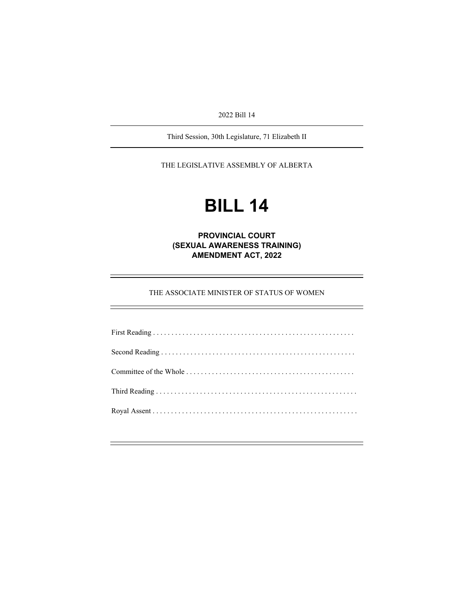2022 Bill 14

Third Session, 30th Legislature, 71 Elizabeth II

THE LEGISLATIVE ASSEMBLY OF ALBERTA

# **BILL 14**

**PROVINCIAL COURT (SEXUAL AWARENESS TRAINING) AMENDMENT ACT, 2022** 

THE ASSOCIATE MINISTER OF STATUS OF WOMEN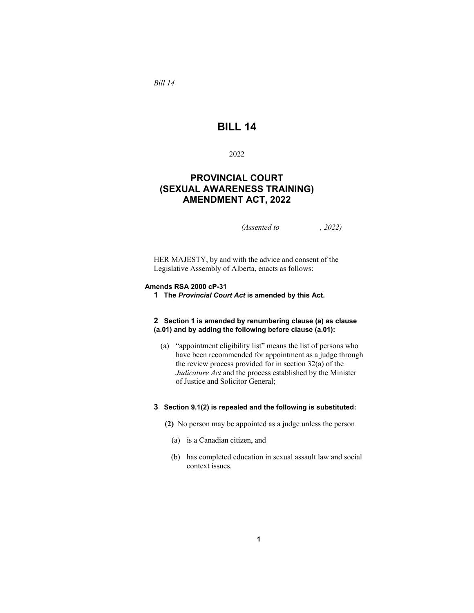*Bill 14* 

# **BILL 14**

## 2022

## **PROVINCIAL COURT (SEXUAL AWARENESS TRAINING) AMENDMENT ACT, 2022**

*(Assented to , 2022)* 

HER MAJESTY, by and with the advice and consent of the Legislative Assembly of Alberta, enacts as follows:

#### **Amends RSA 2000 cP-31**

**1 The** *Provincial Court Act* **is amended by this Act.** 

#### **2 Section 1 is amended by renumbering clause (a) as clause (a.01) and by adding the following before clause (a.01):**

 (a) "appointment eligibility list" means the list of persons who have been recommended for appointment as a judge through the review process provided for in section 32(a) of the *Judicature Act* and the process established by the Minister of Justice and Solicitor General;

### **3 Section 9.1(2) is repealed and the following is substituted:**

- **(2)** No person may be appointed as a judge unless the person
	- (a) is a Canadian citizen, and
	- (b) has completed education in sexual assault law and social context issues.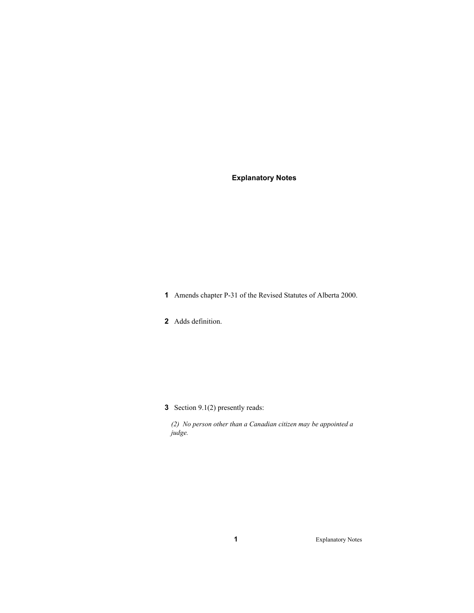## **Explanatory Notes**

**1** Amends chapter P-31 of the Revised Statutes of Alberta 2000.

**2** Adds definition.

**3** Section 9.1(2) presently reads:

*(2) No person other than a Canadian citizen may be appointed a judge.* 

**1** Explanatory Notes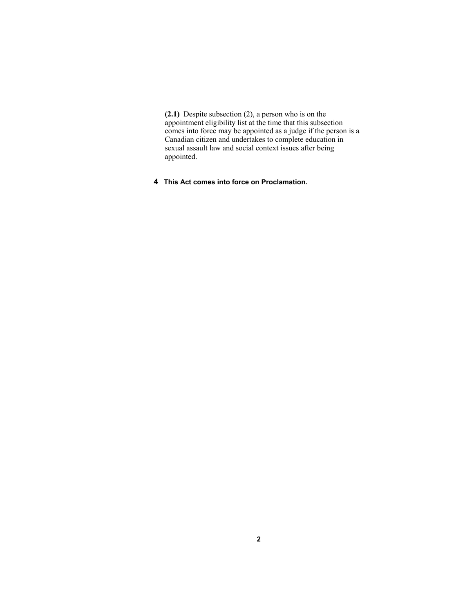**(2.1)** Despite subsection (2), a person who is on the appointment eligibility list at the time that this subsection comes into force may be appointed as a judge if the person is a Canadian citizen and undertakes to complete education in sexual assault law and social context issues after being appointed.

**4 This Act comes into force on Proclamation.**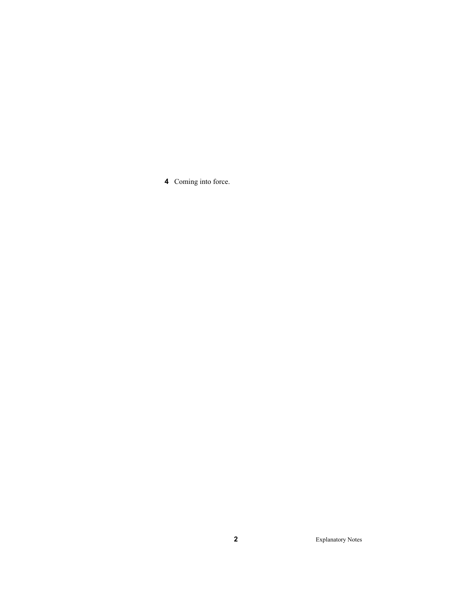Coming into force.

Explanatory Notes